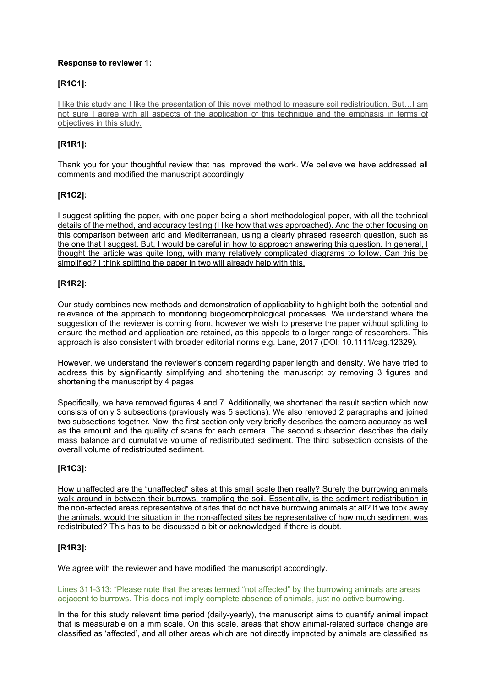### **Response to reviewer 1:**

## **[R1C1]:**

I like this study and I like the presentation of this novel method to measure soil redistribution. But…I am not sure I agree with all aspects of the application of this technique and the emphasis in terms of objectives in this study.

# **[R1R1]:**

Thank you for your thoughtful review that has improved the work. We believe we have addressed all comments and modified the manuscript accordingly

# **[R1C2]:**

I suggest splitting the paper, with one paper being a short methodological paper, with all the technical details of the method, and accuracy testing (I like how that was approached). And the other focusing on this comparison between arid and Mediterranean, using a clearly phrased research question, such as the one that I suggest. But, I would be careful in how to approach answering this question. In general, I thought the article was quite long, with many relatively complicated diagrams to follow. Can this be simplified? I think splitting the paper in two will already help with this.

### **[R1R2]:**

Our study combines new methods and demonstration of applicability to highlight both the potential and relevance of the approach to monitoring biogeomorphological processes. We understand where the suggestion of the reviewer is coming from, however we wish to preserve the paper without splitting to ensure the method and application are retained, as this appeals to a larger range of researchers. This approach is also consistent with broader editorial norms e.g. Lane, 2017 (DOI: 10.1111/cag.12329).

However, we understand the reviewer's concern regarding paper length and density. We have tried to address this by significantly simplifying and shortening the manuscript by removing 3 figures and shortening the manuscript by 4 pages

Specifically, we have removed figures 4 and 7. Additionally, we shortened the result section which now consists of only 3 subsections (previously was 5 sections). We also removed 2 paragraphs and joined two subsections together. Now, the first section only very briefly describes the camera accuracy as well as the amount and the quality of scans for each camera. The second subsection describes the daily mass balance and cumulative volume of redistributed sediment. The third subsection consists of the overall volume of redistributed sediment.

### **[R1C3]:**

How unaffected are the "unaffected" sites at this small scale then really? Surely the burrowing animals walk around in between their burrows, trampling the soil. Essentially, is the sediment redistribution in the non-affected areas representative of sites that do not have burrowing animals at all? If we took away the animals, would the situation in the non-affected sites be representative of how much sediment was redistributed? This has to be discussed a bit or acknowledged if there is doubt.

### **[R1R3]:**

We agree with the reviewer and have modified the manuscript accordingly.

Lines 311-313: "Please note that the areas termed "not affected" by the burrowing animals are areas adjacent to burrows. This does not imply complete absence of animals, just no active burrowing.

In the for this study relevant time period (daily-yearly), the manuscript aims to quantify animal impact that is measurable on a mm scale. On this scale, areas that show animal-related surface change are classified as 'affected', and all other areas which are not directly impacted by animals are classified as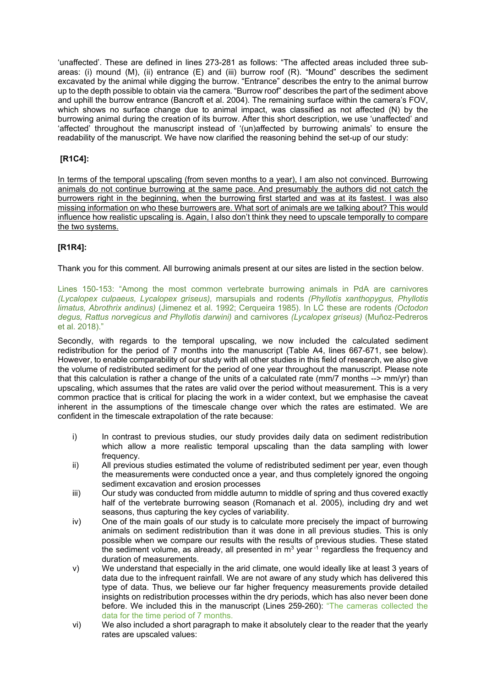'unaffected'. These are defined in lines 273-281 as follows: "The affected areas included three subareas: (i) mound (M), (ii) entrance (E) and (iii) burrow roof (R). "Mound" describes the sediment excavated by the animal while digging the burrow. "Entrance" describes the entry to the animal burrow up to the depth possible to obtain via the camera. "Burrow roof" describes the part of the sediment above and uphill the burrow entrance (Bancroft et al. 2004). The remaining surface within the camera's FOV, which shows no surface change due to animal impact, was classified as not affected (N) by the burrowing animal during the creation of its burrow. After this short description, we use 'unaffected' and 'affected' throughout the manuscript instead of '(un)affected by burrowing animals' to ensure the readability of the manuscript. We have now clarified the reasoning behind the set-up of our study:

# **[R1C4]:**

In terms of the temporal upscaling (from seven months to a year), I am also not convinced. Burrowing animals do not continue burrowing at the same pace. And presumably the authors did not catch the burrowers right in the beginning, when the burrowing first started and was at its fastest. I was also missing information on who these burrowers are. What sort of animals are we talking about? This would influence how realistic upscaling is. Again, I also don't think they need to upscale temporally to compare the two systems.

# **[R1R4]:**

Thank you for this comment. All burrowing animals present at our sites are listed in the section below.

Lines 150-153: "Among the most common vertebrate burrowing animals in PdA are carnivores *(Lycalopex culpaeus, Lycalopex griseus),* marsupials and rodents *(Phyllotis xanthopygus, Phyllotis limatus, Abrothrix andinus)* (Jimenez et al. 1992; Cerqueira 1985). In LC these are rodents *(Octodon degus, Rattus norvegicus and Phyllotis darwini)* and carnivores *(Lycalopex griseus)* (Muñoz-Pedreros et al. 2018)."

Secondly, with regards to the temporal upscaling, we now included the calculated sediment redistribution for the period of 7 months into the manuscript (Table A4, lines 667-671, see below). However, to enable comparability of our study with all other studies in this field of research, we also give the volume of redistributed sediment for the period of one year throughout the manuscript. Please note that this calculation is rather a change of the units of a calculated rate (mm/7 months --> mm/yr) than upscaling, which assumes that the rates are valid over the period without measurement. This is a very common practice that is critical for placing the work in a wider context, but we emphasise the caveat inherent in the assumptions of the timescale change over which the rates are estimated. We are confident in the timescale extrapolation of the rate because:

- i) In contrast to previous studies, our study provides daily data on sediment redistribution which allow a more realistic temporal upscaling than the data sampling with lower frequency.
- ii) All previous studies estimated the volume of redistributed sediment per year, even though the measurements were conducted once a year, and thus completely ignored the ongoing sediment excavation and erosion processes
- iii) Our study was conducted from middle autumn to middle of spring and thus covered exactly half of the vertebrate burrowing season (Romanach et al. 2005), including dry and wet seasons, thus capturing the key cycles of variability.
- iv) One of the main goals of our study is to calculate more precisely the impact of burrowing animals on sediment redistribution than it was done in all previous studies. This is only possible when we compare our results with the results of previous studies. These stated the sediment volume, as already, all presented in  $m^3$  year  $\dot{1}$  regardless the frequency and duration of measurements.
- v) We understand that especially in the arid climate, one would ideally like at least 3 years of data due to the infrequent rainfall. We are not aware of any study which has delivered this type of data. Thus, we believe our far higher frequency measurements provide detailed insights on redistribution processes within the dry periods, which has also never been done before. We included this in the manuscript (Lines 259-260): "The cameras collected the data for the time period of 7 months.
- vi) We also included a short paragraph to make it absolutely clear to the reader that the yearly rates are upscaled values: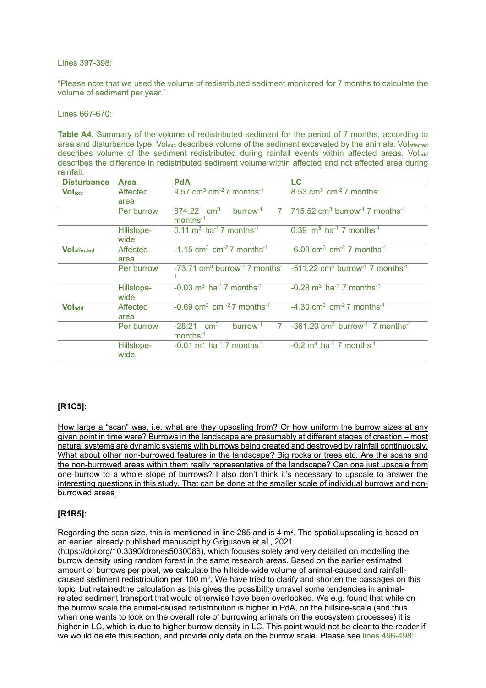Lines 397-398:

"Please note that we used the volume of redistributed sediment monitored for 7 months to calculate the volume of sediment per year."

Lines 667-670:

**Table A4.** Summary of the volume of redistributed sediment for the period of 7 months, according to area and disturbance type. Volexc describes volume of the sediment excavated by the animals. Volaffected describes volume of the sediment redistributed during rainfall events within affected areas. Voladd describes the difference in redistributed sediment volume within affected and not affected area during rainfall.

| <b>Disturbance</b>  | <b>Area</b>        | <b>PdA</b>                                                                           | LC                                                                                                                                        |
|---------------------|--------------------|--------------------------------------------------------------------------------------|-------------------------------------------------------------------------------------------------------------------------------------------|
| <b>Volexc</b>       | Affected<br>area   | 9.57 cm <sup>3</sup> cm <sup>-2</sup> 7 months <sup>-1</sup>                         | 8.53 cm <sup>3</sup> cm <sup>-2</sup> 7 months <sup>-1</sup>                                                                              |
|                     | Per burrow         | burrow <sup>-1</sup><br>$874.22$ cm <sup>3</sup><br>$months-1$                       | 7 715.52 cm <sup>3</sup> burrow <sup>-1</sup> 7 months <sup>-1</sup>                                                                      |
|                     | Hillslope-<br>wide | $0.11 \text{ m}^3 \text{ ha}^{-1}$ 7 months <sup>-1</sup>                            | 0.39 $m^3$ ha <sup>-1</sup> 7 months <sup>-1</sup>                                                                                        |
| <b>VO</b> laffected | Affected<br>area   | $-1.15$ cm <sup>3</sup> cm <sup>-2</sup> 7 months <sup>-1</sup>                      | $-6.09$ cm <sup>3</sup> cm <sup>-2</sup> 7 months <sup>-1</sup>                                                                           |
|                     | Per burrow         |                                                                                      | $-73.71$ cm <sup>3</sup> burrow <sup>-1</sup> 7 months <sup>-</sup> $-511.22$ cm <sup>3</sup> burrow <sup>-1</sup> 7 months <sup>-1</sup> |
|                     | Hillslope-<br>wide | $-0.03$ m <sup>3</sup> ha <sup>-1</sup> 7 months <sup>-1</sup>                       | $-0.28$ m <sup>3</sup> ha <sup>-1</sup> 7 months <sup>-1</sup>                                                                            |
| <b>Voladd</b>       | Affected<br>area   | $-0.69$ cm <sup>3</sup> cm <sup>-2</sup> 7 months <sup>-1</sup>                      | $-4.30$ cm <sup>3</sup> cm <sup>-2</sup> 7 months <sup>-1</sup>                                                                           |
|                     | Per burrow         | $b$ urrow <sup>-1</sup><br>$-28.21$ cm <sup>3</sup><br>$\mathbf{7}$<br>$months^{-1}$ | $-361.20$ cm <sup>3</sup> burrow <sup>-1</sup> 7 months <sup>-1</sup>                                                                     |
|                     | Hillslope-<br>wide | $-0.01$ m <sup>3</sup> ha <sup>-1</sup> 7 months <sup>-1</sup>                       | $-0.2$ m <sup>3</sup> ha <sup>-1</sup> 7 months <sup>-1</sup>                                                                             |

## **[R1C5]:**

How large a "scan" was, i.e. what are they upscaling from? Or how uniform the burrow sizes at any given point in time were? Burrows in the landscape are presumably at different stages of creation – most natural systems are dynamic systems with burrows being created and destroyed by rainfall continuously. What about other non-burrowed features in the landscape? Big rocks or trees etc. Are the scans and the non-burrowed areas within them really representative of the landscape? Can one just upscale from one burrow to a whole slope of burrows? I also don't think it's necessary to upscale to answer the interesting questions in this study. That can be done at the smaller scale of individual burrows and nonburrowed areas

### **[R1R5]:**

Regarding the scan size, this is mentioned in line 285 and is 4  $m<sup>2</sup>$ . The spatial upscaling is based on an earlier, already published manuscipt by Grigusova et al., 2021

(https://doi.org/10.3390/drones5030086), which focuses solely and very detailed on modelling the burrow density using random forest in the same research areas. Based on the earlier estimated amount of burrows per pixel, we calculate the hillside-wide volume of animal-caused and rainfallcaused sediment redistribution per 100  $\text{m}^2$ . We have tried to clarify and shorten the passages on this topic, but retainedthe calculation as this gives the possibility unravel some tendencies in animalrelated sediment transport that would otherwise have been overlooked. We e.g. found that while on the burrow scale the animal-caused redistribution is higher in PdA, on the hillside-scale (and thus when one wants to look on the overall role of burrowing animals on the ecosystem processes) it is higher in LC, which is due to higher burrow density in LC. This point would not be clear to the reader if we would delete this section, and provide only data on the burrow scale. Please see lines 496-498: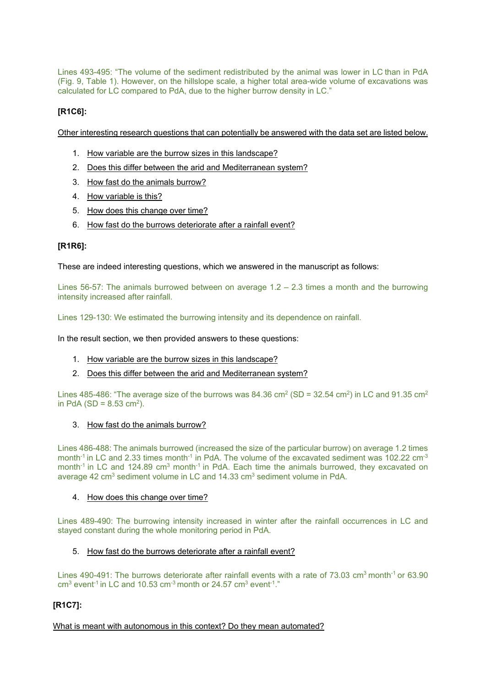Lines 493-495: "The volume of the sediment redistributed by the animal was lower in LC than in PdA (Fig. 9, Table 1). However, on the hillslope scale, a higher total area-wide volume of excavations was calculated for LC compared to PdA, due to the higher burrow density in LC."

# **[R1C6]:**

Other interesting research questions that can potentially be answered with the data set are listed below.

- 1. How variable are the burrow sizes in this landscape?
- 2. Does this differ between the arid and Mediterranean system?
- 3. How fast do the animals burrow?
- 4. How variable is this?
- 5. How does this change over time?
- 6. How fast do the burrows deteriorate after a rainfall event?

# **[R1R6]:**

These are indeed interesting questions, which we answered in the manuscript as follows:

Lines 56-57: The animals burrowed between on average  $1.2 - 2.3$  times a month and the burrowing intensity increased after rainfall.

Lines 129-130: We estimated the burrowing intensity and its dependence on rainfall.

In the result section, we then provided answers to these questions:

- 1. How variable are the burrow sizes in this landscape?
- 2. Does this differ between the arid and Mediterranean system?

Lines 485-486: "The average size of the burrows was 84.36 cm<sup>2</sup> (SD = 32.54 cm<sup>2</sup>) in LC and 91.35 cm<sup>2</sup> in PdA (SD =  $8.53$  cm<sup>2</sup>).

3. How fast do the animals burrow?

Lines 486-488: The animals burrowed (increased the size of the particular burrow) on average 1.2 times month<sup>-1</sup> in LC and 2.33 times month<sup>-1</sup> in PdA. The volume of the excavated sediment was  $102.22 \text{ cm}^{-3}$ month<sup>-1</sup> in LC and 124.89 cm<sup>3</sup> month<sup>-1</sup> in PdA. Each time the animals burrowed, they excavated on average 42 cm<sup>3</sup> sediment volume in LC and 14.33 cm<sup>3</sup> sediment volume in PdA.

### 4. How does this change over time?

Lines 489-490: The burrowing intensity increased in winter after the rainfall occurrences in LC and stayed constant during the whole monitoring period in PdA.

### 5. How fast do the burrows deteriorate after a rainfall event?

Lines 490-491: The burrows deteriorate after rainfall events with a rate of 73.03 cm<sup>3</sup> month<sup>-1</sup> or 63.90  $cm<sup>3</sup>$  event<sup>-1</sup> in LC and 10.53 cm<sup>-3</sup> month or 24.57 cm<sup>3</sup> event<sup>-1</sup>."

# **[R1C7]:**

What is meant with autonomous in this context? Do they mean automated?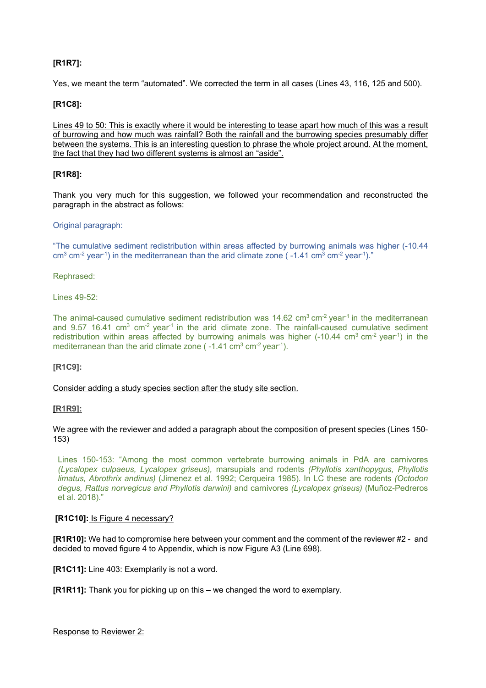# **[R1R7]:**

Yes, we meant the term "automated". We corrected the term in all cases (Lines 43, 116, 125 and 500).

## **[R1C8]:**

Lines 49 to 50: This is exactly where it would be interesting to tease apart how much of this was a result of burrowing and how much was rainfall? Both the rainfall and the burrowing species presumably differ between the systems. This is an interesting question to phrase the whole project around. At the moment, the fact that they had two different systems is almost an "aside".

### **[R1R8]:**

Thank you very much for this suggestion, we followed your recommendation and reconstructed the paragraph in the abstract as follows:

### Original paragraph:

"The cumulative sediment redistribution within areas affected by burrowing animals was higher (-10.44  $\text{cm}^3$  cm<sup>-2</sup> year<sup>-1</sup>) in the mediterranean than the arid climate zone ( $-1.41 \text{ cm}^3$  cm<sup>-2</sup> year<sup>-1</sup>)."

Rephrased:

Lines 49-52:

The animal-caused cumulative sediment redistribution was  $14.62 \text{ cm}^3 \text{ cm}^2 \text{ year}^1$  in the mediterranean and  $9.57$  16.41 cm<sup>3</sup> cm<sup>-2</sup> year<sup>-1</sup> in the arid climate zone. The rainfall-caused cumulative sediment redistribution within areas affected by burrowing animals was higher  $(-10.44 \text{ cm}^3 \text{ cm}^{-2} \text{ year}^1)$  in the mediterranean than the arid climate zone  $(-1.41 \text{ cm}^3 \text{ cm}^{-2} \text{ year}^1)$ .

### **[R1C9]:**

Consider adding a study species section after the study site section.

### **[R1R9]:**

We agree with the reviewer and added a paragraph about the composition of present species (Lines 150- 153)

Lines 150-153: "Among the most common vertebrate burrowing animals in PdA are carnivores *(Lycalopex culpaeus, Lycalopex griseus),* marsupials and rodents *(Phyllotis xanthopygus, Phyllotis limatus, Abrothrix andinus)* (Jimenez et al. 1992; Cerqueira 1985). In LC these are rodents *(Octodon degus, Rattus norvegicus and Phyllotis darwini)* and carnivores *(Lycalopex griseus)* (Muñoz-Pedreros et al. 2018)."

### **[R1C10]:** Is Figure 4 necessary?

**[R1R10]:** We had to compromise here between your comment and the comment of the reviewer #2 - and decided to moved figure 4 to Appendix, which is now Figure A3 (Line 698).

**[R1C11]:** Line 403: Exemplarily is not a word.

**[R1R11]:** Thank you for picking up on this – we changed the word to exemplary.

Response to Reviewer 2: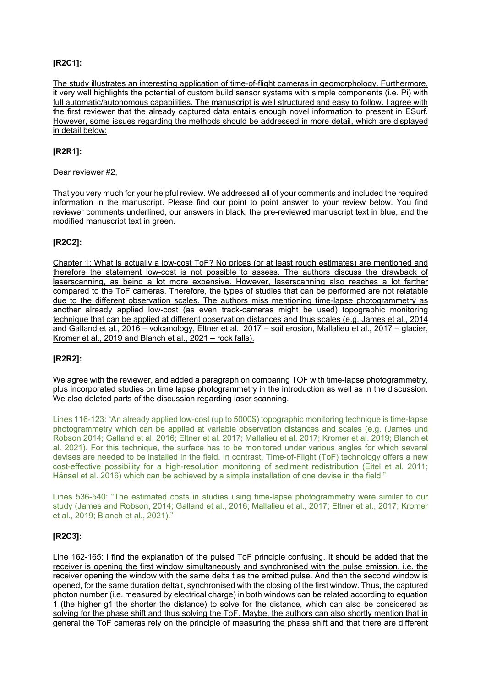# **[R2C1]:**

The study illustrates an interesting application of time-of-flight cameras in geomorphology. Furthermore, it very well highlights the potential of custom build sensor systems with simple components (i.e. Pi) with full automatic/autonomous capabilities. The manuscript is well structured and easy to follow. I agree with the first reviewer that the already captured data entails enough novel information to present in ESurf. However, some issues regarding the methods should be addressed in more detail, which are displayed in detail below:

# **[R2R1]:**

Dear reviewer #2,

That you very much for your helpful review. We addressed all of your comments and included the required information in the manuscript. Please find our point to point answer to your review below. You find reviewer comments underlined, our answers in black, the pre-reviewed manuscript text in blue, and the modified manuscript text in green.

## **[R2C2]:**

Chapter 1: What is actually a low-cost ToF? No prices (or at least rough estimates) are mentioned and therefore the statement low-cost is not possible to assess. The authors discuss the drawback of laserscanning, as being a lot more expensive. However, laserscanning also reaches a lot farther compared to the ToF cameras. Therefore, the types of studies that can be performed are not relatable due to the different observation scales. The authors miss mentioning time-lapse photogrammetry as another already applied low-cost (as even track-cameras might be used) topographic monitoring technique that can be applied at different observation distances and thus scales (e.g. James et al., 2014 and Galland et al., 2016 – volcanology, Eltner et al., 2017 – soil erosion, Mallalieu et al., 2017 – glacier, Kromer et al., 2019 and Blanch et al., 2021 – rock falls).

### **[R2R2]:**

We agree with the reviewer, and added a paragraph on comparing TOF with time-lapse photogrammetry, plus incorporated studies on time lapse photogrammetry in the introduction as well as in the discussion. We also deleted parts of the discussion regarding laser scanning.

Lines 116-123: "An already applied low-cost (up to 5000\$) topographic monitoring technique is time-lapse photogrammetry which can be applied at variable observation distances and scales (e.g. (James und Robson 2014; Galland et al. 2016; Eltner et al. 2017; Mallalieu et al. 2017; Kromer et al. 2019; Blanch et al. 2021). For this technique, the surface has to be monitored under various angles for which several devises are needed to be installed in the field. In contrast, Time-of-Flight (ToF) technology offers a new cost-effective possibility for a high-resolution monitoring of sediment redistribution (Eitel et al. 2011; Hänsel et al. 2016) which can be achieved by a simple installation of one devise in the field."

Lines 536-540: "The estimated costs in studies using time-lapse photogrammetry were similar to our study (James and Robson, 2014; Galland et al., 2016; Mallalieu et al., 2017; Eltner et al., 2017; Kromer et al., 2019; Blanch et al., 2021)."

### **[R2C3]:**

Line 162-165: I find the explanation of the pulsed ToF principle confusing. It should be added that the receiver is opening the first window simultaneously and synchronised with the pulse emission, i.e. the receiver opening the window with the same delta t as the emitted pulse. And then the second window is opened, for the same duration delta t, synchronised with the closing of the first window. Thus, the captured photon number (i.e. measured by electrical charge) in both windows can be related according to equation 1 (the higher g1 the shorter the distance) to solve for the distance, which can also be considered as solving for the phase shift and thus solving the ToF. Maybe, the authors can also shortly mention that in general the ToF cameras rely on the principle of measuring the phase shift and that there are different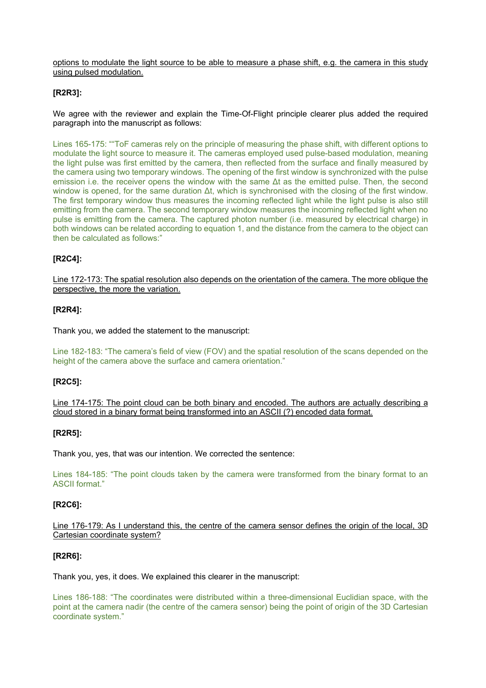options to modulate the light source to be able to measure a phase shift, e.g. the camera in this study using pulsed modulation.

## **[R2R3]:**

We agree with the reviewer and explain the Time-Of-Flight principle clearer plus added the required paragraph into the manuscript as follows:

Lines 165-175: ""ToF cameras rely on the principle of measuring the phase shift, with different options to modulate the light source to measure it. The cameras employed used pulse-based modulation, meaning the light pulse was first emitted by the camera, then reflected from the surface and finally measured by the camera using two temporary windows. The opening of the first window is synchronized with the pulse emission i.e. the receiver opens the window with the same  $\Delta t$  as the emitted pulse. Then, the second window is opened, for the same duration Δt, which is synchronised with the closing of the first window. The first temporary window thus measures the incoming reflected light while the light pulse is also still emitting from the camera. The second temporary window measures the incoming reflected light when no pulse is emitting from the camera. The captured photon number (i.e. measured by electrical charge) in both windows can be related according to equation 1, and the distance from the camera to the object can then be calculated as follows:"

# **[R2C4]:**

Line 172-173: The spatial resolution also depends on the orientation of the camera. The more oblique the perspective, the more the variation.

### **[R2R4]:**

Thank you, we added the statement to the manuscript:

Line 182-183: "The camera's field of view (FOV) and the spatial resolution of the scans depended on the height of the camera above the surface and camera orientation."

### **[R2C5]:**

Line 174-175: The point cloud can be both binary and encoded. The authors are actually describing a cloud stored in a binary format being transformed into an ASCII (?) encoded data format.

### **[R2R5]:**

Thank you, yes, that was our intention. We corrected the sentence:

Lines 184-185: "The point clouds taken by the camera were transformed from the binary format to an ASCII format."

### **[R2C6]:**

Line 176-179: As I understand this, the centre of the camera sensor defines the origin of the local, 3D Cartesian coordinate system?

### **[R2R6]:**

Thank you, yes, it does. We explained this clearer in the manuscript:

Lines 186-188: "The coordinates were distributed within a three-dimensional Euclidian space, with the point at the camera nadir (the centre of the camera sensor) being the point of origin of the 3D Cartesian coordinate system."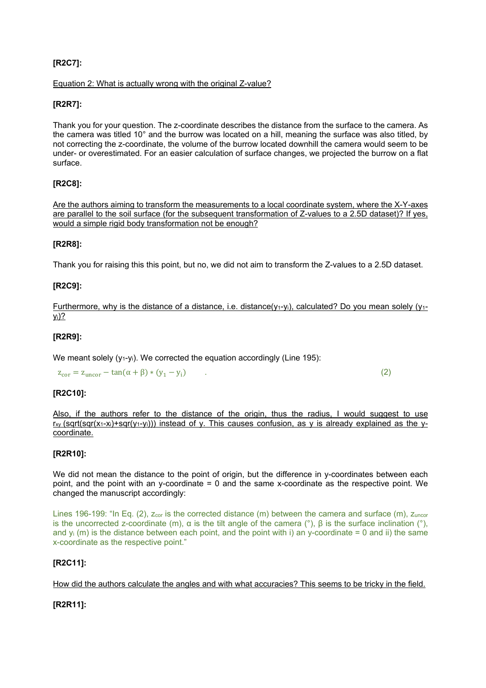# **[R2C7]:**

### Equation 2: What is actually wrong with the original Z-value?

## **[R2R7]:**

Thank you for your question. The z-coordinate describes the distance from the surface to the camera. As the camera was titled 10° and the burrow was located on a hill, meaning the surface was also titled, by not correcting the z-coordinate, the volume of the burrow located downhill the camera would seem to be under- or overestimated. For an easier calculation of surface changes, we projected the burrow on a flat surface.

## **[R2C8]:**

Are the authors aiming to transform the measurements to a local coordinate system, where the X-Y-axes are parallel to the soil surface (for the subsequent transformation of Z-values to a 2.5D dataset)? If yes, would a simple rigid body transformation not be enough?

### **[R2R8]:**

Thank you for raising this this point, but no, we did not aim to transform the Z-values to a 2.5D dataset.

### **[R2C9]:**

Furthermore, why is the distance of a distance, i.e. distance( $y_1-y_i$ ), calculated? Do you mean solely ( $y_1$ yi)?

### **[R2R9]:**

We meant solely  $(y_1-y_i)$ . We corrected the equation accordingly (Line 195):

 $z_{\text{cor}} = z_{\text{uncor}} - \tan(\alpha + \beta) * (y_1 - y_i)$  (2)

### **[R2C10]:**

Also, if the authors refer to the distance of the origin, thus the radius, I would suggest to use  $r_{xy}$  (sqrt(sqr(x<sub>1</sub>-x<sub>i</sub>)+sqr(y<sub>1</sub>-y<sub>i</sub>))) instead of y. This causes confusion, as y is already explained as the ycoordinate.

### **[R2R10]:**

We did not mean the distance to the point of origin, but the difference in y-coordinates between each point, and the point with an y-coordinate = 0 and the same x-coordinate as the respective point. We changed the manuscript accordingly:

Lines 196-199: "In Eq. (2),  $z_{cor}$  is the corrected distance (m) between the camera and surface (m),  $z_{\text{uncor}}$ is the uncorrected z-coordinate (m), α is the tilt angle of the camera (°), β is the surface inclination (°), and  $v_i$  (m) is the distance between each point, and the point with i) an y-coordinate = 0 and ii) the same x-coordinate as the respective point."

### **[R2C11]:**

How did the authors calculate the angles and with what accuracies? This seems to be tricky in the field.

# **[R2R11]:**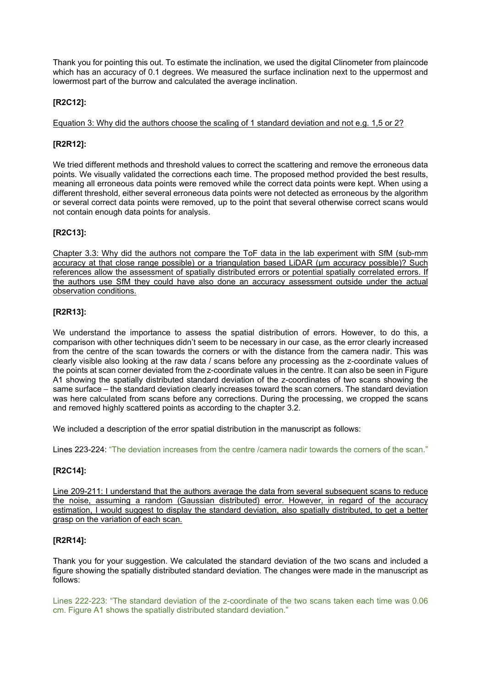Thank you for pointing this out. To estimate the inclination, we used the digital Clinometer from plaincode which has an accuracy of 0.1 degrees. We measured the surface inclination next to the uppermost and lowermost part of the burrow and calculated the average inclination.

# **[R2C12]:**

Equation 3: Why did the authors choose the scaling of 1 standard deviation and not e.g. 1,5 or 2?

# **[R2R12]:**

We tried different methods and threshold values to correct the scattering and remove the erroneous data points. We visually validated the corrections each time. The proposed method provided the best results, meaning all erroneous data points were removed while the correct data points were kept. When using a different threshold, either several erroneous data points were not detected as erroneous by the algorithm or several correct data points were removed, up to the point that several otherwise correct scans would not contain enough data points for analysis.

# **[R2C13]:**

Chapter 3.3: Why did the authors not compare the ToF data in the lab experiment with SfM (sub-mm accuracy at that close range possible) or a triangulation based LiDAR (um accuracy possible)? Such references allow the assessment of spatially distributed errors or potential spatially correlated errors. If the authors use SfM they could have also done an accuracy assessment outside under the actual observation conditions.

## **[R2R13]:**

We understand the importance to assess the spatial distribution of errors. However, to do this, a comparison with other techniques didn't seem to be necessary in our case, as the error clearly increased from the centre of the scan towards the corners or with the distance from the camera nadir. This was clearly visible also looking at the raw data / scans before any processing as the z-coordinate values of the points at scan corner deviated from the z-coordinate values in the centre. It can also be seen in Figure A1 showing the spatially distributed standard deviation of the z-coordinates of two scans showing the same surface – the standard deviation clearly increases toward the scan corners. The standard deviation was here calculated from scans before any corrections. During the processing, we cropped the scans and removed highly scattered points as according to the chapter 3.2.

We included a description of the error spatial distribution in the manuscript as follows:

Lines 223-224: "The deviation increases from the centre /camera nadir towards the corners of the scan."

# **[R2C14]:**

Line 209-211: I understand that the authors average the data from several subsequent scans to reduce the noise, assuming a random (Gaussian distributed) error. However, in regard of the accuracy estimation, I would suggest to display the standard deviation, also spatially distributed, to get a better grasp on the variation of each scan.

### **[R2R14]:**

Thank you for your suggestion. We calculated the standard deviation of the two scans and included a figure showing the spatially distributed standard deviation. The changes were made in the manuscript as follows:

Lines 222-223: "The standard deviation of the z-coordinate of the two scans taken each time was 0.06 cm. Figure A1 shows the spatially distributed standard deviation."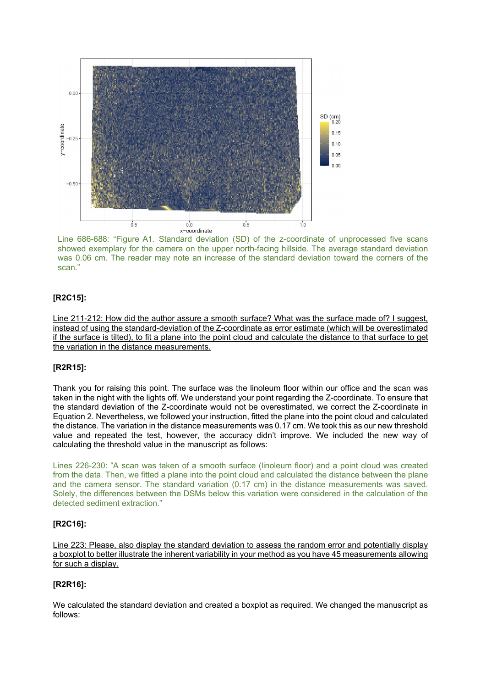

Line 686-688: "Figure A1. Standard deviation (SD) of the z-coordinate of unprocessed five scans showed exemplary for the camera on the upper north-facing hillside. The average standard deviation was 0.06 cm. The reader may note an increase of the standard deviation toward the corners of the scan."

## **[R2C15]:**

Line 211-212: How did the author assure a smooth surface? What was the surface made of? I suggest, instead of using the standard-deviation of the Z-coordinate as error estimate (which will be overestimated if the surface is tilted), to fit a plane into the point cloud and calculate the distance to that surface to get the variation in the distance measurements.

### **[R2R15]:**

Thank you for raising this point. The surface was the linoleum floor within our office and the scan was taken in the night with the lights off. We understand your point regarding the Z-coordinate. To ensure that the standard deviation of the Z-coordinate would not be overestimated, we correct the Z-coordinate in Equation 2. Nevertheless, we followed your instruction, fitted the plane into the point cloud and calculated the distance. The variation in the distance measurements was 0.17 cm. We took this as our new threshold value and repeated the test, however, the accuracy didn't improve. We included the new way of calculating the threshold value in the manuscript as follows:

Lines 226-230: "A scan was taken of a smooth surface (linoleum floor) and a point cloud was created from the data. Then, we fitted a plane into the point cloud and calculated the distance between the plane and the camera sensor. The standard variation (0.17 cm) in the distance measurements was saved. Solely, the differences between the DSMs below this variation were considered in the calculation of the detected sediment extraction."

## **[R2C16]:**

Line 223: Please, also display the standard deviation to assess the random error and potentially display a boxplot to better illustrate the inherent variability in your method as you have 45 measurements allowing for such a display.

# **[R2R16]:**

We calculated the standard deviation and created a boxplot as required. We changed the manuscript as follows: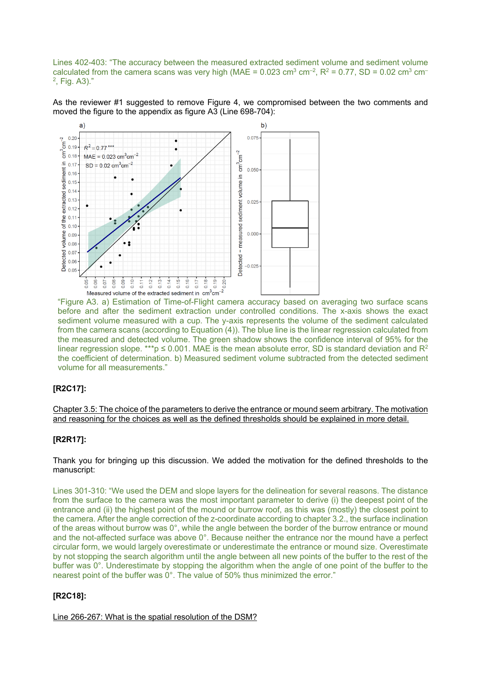Lines 402-403: "The accuracy between the measured extracted sediment volume and sediment volume calculated from the camera scans was very high (MAE =  $0.023$  cm<sup>3</sup> cm<sup>-2</sup>, R<sup>2</sup> =  $0.77$ , SD =  $0.02$  cm<sup>3</sup> cm<sup>-</sup> 2, Fig. A3)."

As the reviewer #1 suggested to remove Figure 4, we compromised between the two comments and moved the figure to the appendix as figure A3 (Line 698-704):



Measured volume of the extracted sediment in  $cm^3cm^{-2}$ <br>"Figure A3. a) Estimation of Time-of-Flight camera accuracy based on averaging two surface scans before and after the sediment extraction under controlled conditions. The x-axis shows the exact sediment volume measured with a cup. The y-axis represents the volume of the sediment calculated from the camera scans (according to Equation (4)). The blue line is the linear regression calculated from the measured and detected volume. The green shadow shows the confidence interval of 95% for the linear regression slope. \*\*\*p  $\leq$  0.001. MAE is the mean absolute error, SD is standard deviation and R<sup>2</sup> the coefficient of determination. b) Measured sediment volume subtracted from the detected sediment volume for all measurements."

### **[R2C17]:**

Chapter 3.5: The choice of the parameters to derive the entrance or mound seem arbitrary. The motivation and reasoning for the choices as well as the defined thresholds should be explained in more detail.

### **[R2R17]:**

Thank you for bringing up this discussion. We added the motivation for the defined thresholds to the manuscript:

Lines 301-310: "We used the DEM and slope layers for the delineation for several reasons. The distance from the surface to the camera was the most important parameter to derive (i) the deepest point of the entrance and (ii) the highest point of the mound or burrow roof, as this was (mostly) the closest point to the camera. After the angle correction of the z-coordinate according to chapter 3.2., the surface inclination of the areas without burrow was 0°, while the angle between the border of the burrow entrance or mound and the not-affected surface was above 0°. Because neither the entrance nor the mound have a perfect circular form, we would largely overestimate or underestimate the entrance or mound size. Overestimate by not stopping the search algorithm until the angle between all new points of the buffer to the rest of the buffer was 0°. Underestimate by stopping the algorithm when the angle of one point of the buffer to the nearest point of the buffer was 0°. The value of 50% thus minimized the error."

# **[R2C18]:**

Line 266-267: What is the spatial resolution of the DSM?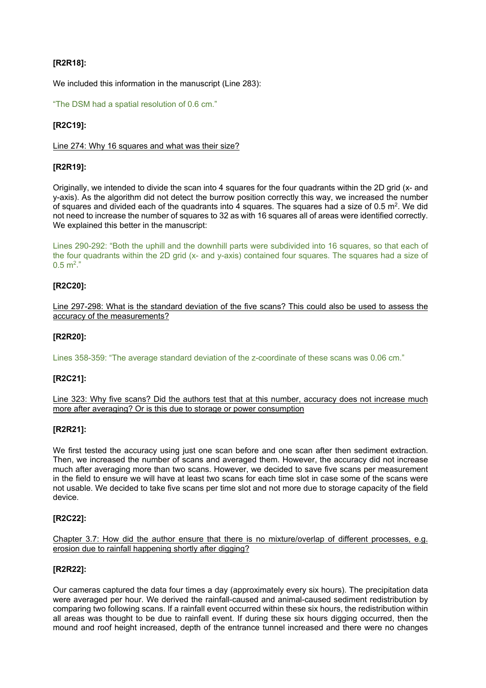# **[R2R18]:**

We included this information in the manuscript (Line 283):

"The DSM had a spatial resolution of 0.6 cm."

# **[R2C19]:**

Line 274: Why 16 squares and what was their size?

## **[R2R19]:**

Originally, we intended to divide the scan into 4 squares for the four quadrants within the 2D grid (x- and y-axis). As the algorithm did not detect the burrow position correctly this way, we increased the number of squares and divided each of the quadrants into 4 squares. The squares had a size of  $0.5$  m<sup>2</sup>. We did not need to increase the number of squares to 32 as with 16 squares all of areas were identified correctly. We explained this better in the manuscript:

Lines 290-292: "Both the uphill and the downhill parts were subdivided into 16 squares, so that each of the four quadrants within the 2D grid (x- and y-axis) contained four squares. The squares had a size of  $0.5 \text{ m}^2$ ."

## **[R2C20]:**

Line 297-298: What is the standard deviation of the five scans? This could also be used to assess the accuracy of the measurements?

## **[R2R20]:**

Lines 358-359: "The average standard deviation of the z-coordinate of these scans was 0.06 cm."

# **[R2C21]:**

Line 323: Why five scans? Did the authors test that at this number, accuracy does not increase much more after averaging? Or is this due to storage or power consumption

### **[R2R21]:**

We first tested the accuracy using just one scan before and one scan after then sediment extraction. Then, we increased the number of scans and averaged them. However, the accuracy did not increase much after averaging more than two scans. However, we decided to save five scans per measurement in the field to ensure we will have at least two scans for each time slot in case some of the scans were not usable. We decided to take five scans per time slot and not more due to storage capacity of the field device.

### **[R2C22]:**

Chapter 3.7: How did the author ensure that there is no mixture/overlap of different processes, e.g. erosion due to rainfall happening shortly after digging?

## **[R2R22]:**

Our cameras captured the data four times a day (approximately every six hours). The precipitation data were averaged per hour. We derived the rainfall-caused and animal-caused sediment redistribution by comparing two following scans. If a rainfall event occurred within these six hours, the redistribution within all areas was thought to be due to rainfall event. If during these six hours digging occurred, then the mound and roof height increased, depth of the entrance tunnel increased and there were no changes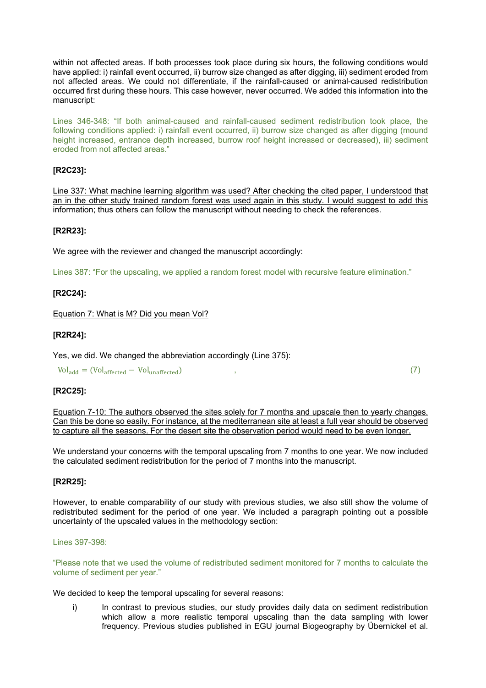within not affected areas. If both processes took place during six hours, the following conditions would have applied: i) rainfall event occurred, ii) burrow size changed as after digging, iii) sediment eroded from not affected areas. We could not differentiate, if the rainfall-caused or animal-caused redistribution occurred first during these hours. This case however, never occurred. We added this information into the manuscript:

Lines 346-348: "If both animal-caused and rainfall-caused sediment redistribution took place, the following conditions applied: i) rainfall event occurred, ii) burrow size changed as after digging (mound height increased, entrance depth increased, burrow roof height increased or decreased), iii) sediment eroded from not affected areas."

### **[R2C23]:**

Line 337: What machine learning algorithm was used? After checking the cited paper, I understood that an in the other study trained random forest was used again in this study. I would suggest to add this information; thus others can follow the manuscript without needing to check the references.

### **[R2R23]:**

We agree with the reviewer and changed the manuscript accordingly:

Lines 387: "For the upscaling, we applied a random forest model with recursive feature elimination."

### **[R2C24]:**

Equation 7: What is M? Did you mean Vol?

### **[R2R24]:**

Yes, we did. We changed the abbreviation accordingly (Line 375):

 $Vol_{add} = (Vol_{affected} - Vol_{unaffected})$  , (7)

### **[R2C25]:**

Equation 7-10: The authors observed the sites solely for 7 months and upscale then to yearly changes. Can this be done so easily. For instance, at the mediterranean site at least a full year should be observed to capture all the seasons. For the desert site the observation period would need to be even longer.

We understand your concerns with the temporal upscaling from 7 months to one year. We now included the calculated sediment redistribution for the period of 7 months into the manuscript.

### **[R2R25]:**

However, to enable comparability of our study with previous studies, we also still show the volume of redistributed sediment for the period of one year. We included a paragraph pointing out a possible uncertainty of the upscaled values in the methodology section:

### Lines 397-398:

"Please note that we used the volume of redistributed sediment monitored for 7 months to calculate the volume of sediment per year."

We decided to keep the temporal upscaling for several reasons:

i) In contrast to previous studies, our study provides daily data on sediment redistribution which allow a more realistic temporal upscaling than the data sampling with lower frequency. Previous studies published in EGU journal Biogeography by Übernickel et al.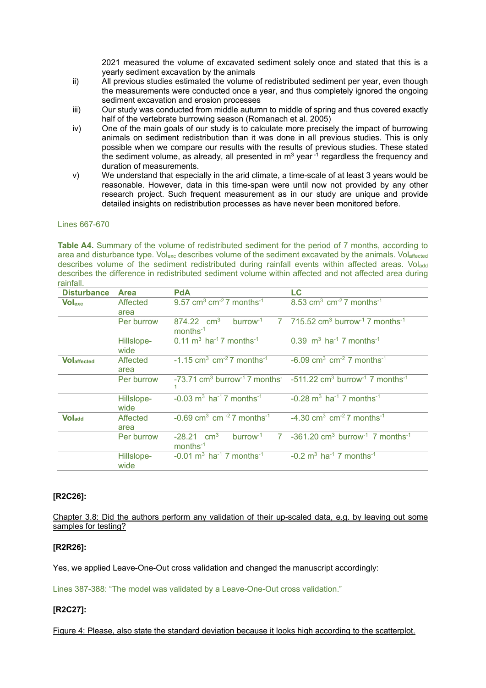2021 measured the volume of excavated sediment solely once and stated that this is a yearly sediment excavation by the animals

- ii) All previous studies estimated the volume of redistributed sediment per year, even though the measurements were conducted once a year, and thus completely ignored the ongoing sediment excavation and erosion processes
- iii) Our study was conducted from middle autumn to middle of spring and thus covered exactly half of the vertebrate burrowing season (Romanach et al. 2005)
- iv) One of the main goals of our study is to calculate more precisely the impact of burrowing animals on sediment redistribution than it was done in all previous studies. This is only possible when we compare our results with the results of previous studies. These stated the sediment volume, as already, all presented in  $m^3$  year  $\overline{1}$  regardless the frequency and duration of measurements.
- v) We understand that especially in the arid climate, a time-scale of at least 3 years would be reasonable. However, data in this time-span were until now not provided by any other research project. Such frequent measurement as in our study are unique and provide detailed insights on redistribution processes as have never been monitored before.

### Lines 667-670

**Table A4.** Summary of the volume of redistributed sediment for the period of 7 months, according to area and disturbance type. Volexc describes volume of the sediment excavated by the animals. Volaffected describes volume of the sediment redistributed during rainfall events within affected areas. Voladd describes the difference in redistributed sediment volume within affected and not affected area during rainfall.

| <b>Disturbance</b>  | <b>Area</b>        | <b>PdA</b>                                                                | LC                                                                                                                                    |
|---------------------|--------------------|---------------------------------------------------------------------------|---------------------------------------------------------------------------------------------------------------------------------------|
| <b>Volexc</b>       | Affected<br>area   | 9.57 cm <sup>3</sup> cm <sup>-2</sup> 7 months <sup>-1</sup>              | 8.53 cm <sup>3</sup> cm <sup>-2</sup> 7 months <sup>-1</sup>                                                                          |
|                     | Per burrow         | $b$ urrow <sup>-1</sup><br>874.22 $cm3$<br>$months^{-1}$                  | $7$ 715.52 cm <sup>3</sup> burrow <sup>-1</sup> 7 months <sup>-1</sup>                                                                |
|                     | Hillslope-<br>wide | $0.11 \text{ m}^3$ ha <sup>-1</sup> 7 months <sup>-1</sup>                | 0.39 $\text{m}^3$ ha <sup>-1</sup> 7 months <sup>-1</sup>                                                                             |
| <b>VO</b> laffected | Affected<br>area   | $-1.15$ cm <sup>3</sup> cm <sup>-2</sup> 7 months <sup>-1</sup>           | $-6.09$ cm <sup>3</sup> cm <sup>-2</sup> 7 months <sup>-1</sup>                                                                       |
|                     | Per burrow         |                                                                           | -73.71 cm <sup>3</sup> burrow <sup>-1</sup> 7 months <sup>-</sup> -511.22 cm <sup>3</sup> burrow <sup>-1</sup> 7 months <sup>-1</sup> |
|                     | Hillslope-<br>wide | $-0.03$ m <sup>3</sup> ha <sup>-1</sup> 7 months <sup>-1</sup>            | $-0.28$ m <sup>3</sup> ha <sup>-1</sup> 7 months <sup>-1</sup>                                                                        |
| <b>Voladd</b>       | Affected<br>area   | $-0.69$ cm <sup>3</sup> cm <sup>-2</sup> 7 months <sup>-1</sup>           | $-4.30$ cm <sup>3</sup> cm <sup>-2</sup> 7 months <sup>-1</sup>                                                                       |
|                     | Per burrow         | $burrow-1$<br>$-28.21$ cm <sup>3</sup><br>$\overline{7}$<br>$months^{-1}$ | $-361.20$ cm <sup>3</sup> burrow <sup>-1</sup> 7 months <sup>-1</sup>                                                                 |
|                     | Hillslope-<br>wide | $-0.01$ m <sup>3</sup> ha <sup>-1</sup> 7 months <sup>-1</sup>            | $-0.2$ m <sup>3</sup> ha <sup>-1</sup> 7 months <sup>-1</sup>                                                                         |

### **[R2C26]:**

Chapter 3.8: Did the authors perform any validation of their up-scaled data, e.g. by leaving out some samples for testing?

### **[R2R26]:**

Yes, we applied Leave-One-Out cross validation and changed the manuscript accordingly:

Lines 387-388: "The model was validated by a Leave-One-Out cross validation."

### **[R2C27]:**

Figure 4: Please, also state the standard deviation because it looks high according to the scatterplot.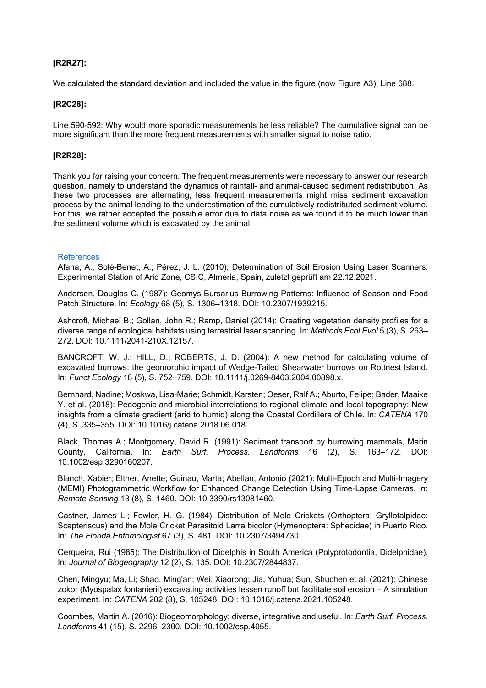## **[R2R27]:**

We calculated the standard deviation and included the value in the figure (now Figure A3), Line 688.

### **[R2C28]:**

Line 590-592: Why would more sporadic measurements be less reliable? The cumulative signal can be more significant than the more frequent measurements with smaller signal to noise ratio.

### **[R2R28]:**

Thank you for raising your concern. The frequent measurements were necessary to answer our research question, namely to understand the dynamics of rainfall- and animal-caused sediment redistribution. As these two processes are alternating, less frequent measurements might miss sediment excavation process by the animal leading to the underestimation of the cumulatively redistributed sediment volume. For this, we rather accepted the possible error due to data noise as we found it to be much lower than the sediment volume which is excavated by the animal.

### References

Afana, A.; Solé-Benet, A.; Pérez, J. L. (2010): Determination of Soil Erosion Using Laser Scanners. Experimental Station of Arid Zone, CSIC, Almeria, Spain, zuletzt geprüft am 22.12.2021.

Andersen, Douglas C. (1987): Geomys Bursarius Burrowing Patterns: Influence of Season and Food Patch Structure. In: *Ecology* 68 (5), S. 1306–1318. DOI: 10.2307/1939215.

Ashcroft, Michael B.; Gollan, John R.; Ramp, Daniel (2014): Creating vegetation density profiles for a diverse range of ecological habitats using terrestrial laser scanning. In: *Methods Ecol Evol* 5 (3), S. 263– 272. DOI: 10.1111/2041-210X.12157.

BANCROFT, W. J.; HILL, D.; ROBERTS, J. D. (2004): A new method for calculating volume of excavated burrows: the geomorphic impact of Wedge-Tailed Shearwater burrows on Rottnest Island. In: *Funct Ecology* 18 (5), S. 752–759. DOI: 10.1111/j.0269-8463.2004.00898.x.

Bernhard, Nadine; Moskwa, Lisa-Marie; Schmidt, Karsten; Oeser, Ralf A.; Aburto, Felipe; Bader, Maaike Y. et al. (2018): Pedogenic and microbial interrelations to regional climate and local topography: New insights from a climate gradient (arid to humid) along the Coastal Cordillera of Chile. In: *CATENA* 170 (4), S. 335–355. DOI: 10.1016/j.catena.2018.06.018.

Black, Thomas A.; Montgomery, David R. (1991): Sediment transport by burrowing mammals, Marin County, California. In: *Earth Surf. Process. Landforms* 16 (2), S. 163–172. DOI: 10.1002/esp.3290160207.

Blanch, Xabier; Eltner, Anette; Guinau, Marta; Abellan, Antonio (2021): Multi-Epoch and Multi-Imagery (MEMI) Photogrammetric Workflow for Enhanced Change Detection Using Time-Lapse Cameras. In: *Remote Sensing* 13 (8), S. 1460. DOI: 10.3390/rs13081460.

Castner, James L.; Fowler, H. G. (1984): Distribution of Mole Crickets (Orthoptera: Gryllotalpidae: Scapteriscus) and the Mole Cricket Parasitoid Larra bicolor (Hymenoptera: Sphecidae) in Puerto Rico. In: *The Florida Entomologist* 67 (3), S. 481. DOI: 10.2307/3494730.

Cerqueira, Rui (1985): The Distribution of Didelphis in South America (Polyprotodontia, Didelphidae). In: *Journal of Biogeography* 12 (2), S. 135. DOI: 10.2307/2844837.

Chen, Mingyu; Ma, Li; Shao, Ming'an; Wei, Xiaorong; Jia, Yuhua; Sun, Shuchen et al. (2021): Chinese zokor (Myospalax fontanierii) excavating activities lessen runoff but facilitate soil erosion – A simulation experiment. In: *CATENA* 202 (8), S. 105248. DOI: 10.1016/j.catena.2021.105248.

Coombes, Martin A. (2016): Biogeomorphology: diverse, integrative and useful. In: *Earth Surf. Process. Landforms* 41 (15), S. 2296–2300. DOI: 10.1002/esp.4055.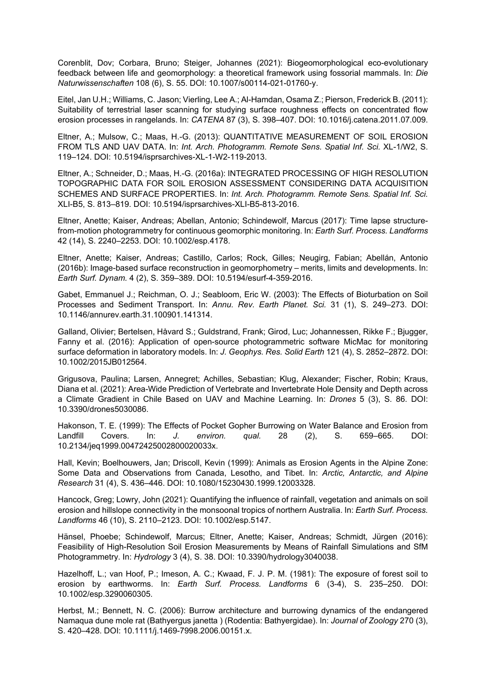Corenblit, Dov; Corbara, Bruno; Steiger, Johannes (2021): Biogeomorphological eco-evolutionary feedback between life and geomorphology: a theoretical framework using fossorial mammals. In: *Die Naturwissenschaften* 108 (6), S. 55. DOI: 10.1007/s00114-021-01760-y.

Eitel, Jan U.H.; Williams, C. Jason; Vierling, Lee A.; Al-Hamdan, Osama Z.; Pierson, Frederick B. (2011): Suitability of terrestrial laser scanning for studying surface roughness effects on concentrated flow erosion processes in rangelands. In: *CATENA* 87 (3), S. 398–407. DOI: 10.1016/j.catena.2011.07.009.

Eltner, A.; Mulsow, C.; Maas, H.-G. (2013): QUANTITATIVE MEASUREMENT OF SOIL EROSION FROM TLS AND UAV DATA. In: *Int. Arch. Photogramm. Remote Sens. Spatial Inf. Sci.* XL-1/W2, S. 119–124. DOI: 10.5194/isprsarchives-XL-1-W2-119-2013.

Eltner, A.; Schneider, D.; Maas, H.-G. (2016a): INTEGRATED PROCESSING OF HIGH RESOLUTION TOPOGRAPHIC DATA FOR SOIL EROSION ASSESSMENT CONSIDERING DATA ACQUISITION SCHEMES AND SURFACE PROPERTIES. In: *Int. Arch. Photogramm. Remote Sens. Spatial Inf. Sci.*  XLI-B5, S. 813–819. DOI: 10.5194/isprsarchives-XLI-B5-813-2016.

Eltner, Anette; Kaiser, Andreas; Abellan, Antonio; Schindewolf, Marcus (2017): Time lapse structurefrom-motion photogrammetry for continuous geomorphic monitoring. In: *Earth Surf. Process. Landforms*  42 (14), S. 2240–2253. DOI: 10.1002/esp.4178.

Eltner, Anette; Kaiser, Andreas; Castillo, Carlos; Rock, Gilles; Neugirg, Fabian; Abellán, Antonio (2016b): Image-based surface reconstruction in geomorphometry – merits, limits and developments. In: *Earth Surf. Dynam.* 4 (2), S. 359–389. DOI: 10.5194/esurf-4-359-2016.

Gabet, Emmanuel J.; Reichman, O. J.; Seabloom, Eric W. (2003): The Effects of Bioturbation on Soil Processes and Sediment Transport. In: *Annu. Rev. Earth Planet. Sci.* 31 (1), S. 249–273. DOI: 10.1146/annurev.earth.31.100901.141314.

Galland, Olivier; Bertelsen, Håvard S.; Guldstrand, Frank; Girod, Luc; Johannessen, Rikke F.; Bjugger, Fanny et al. (2016): Application of open-source photogrammetric software MicMac for monitoring surface deformation in laboratory models. In: *J. Geophys. Res. Solid Earth* 121 (4), S. 2852–2872. DOI: 10.1002/2015JB012564.

Grigusova, Paulina; Larsen, Annegret; Achilles, Sebastian; Klug, Alexander; Fischer, Robin; Kraus, Diana et al. (2021): Area-Wide Prediction of Vertebrate and Invertebrate Hole Density and Depth across a Climate Gradient in Chile Based on UAV and Machine Learning. In: *Drones* 5 (3), S. 86. DOI: 10.3390/drones5030086.

Hakonson, T. E. (1999): The Effects of Pocket Gopher Burrowing on Water Balance and Erosion from Landfill Covers. In: *J. environ. qual.* 28 (2), S. 659–665. DOI: 10.2134/jeq1999.00472425002800020033x.

Hall, Kevin; Boelhouwers, Jan; Driscoll, Kevin (1999): Animals as Erosion Agents in the Alpine Zone: Some Data and Observations from Canada, Lesotho, and Tibet. In: *Arctic, Antarctic, and Alpine Research* 31 (4), S. 436–446. DOI: 10.1080/15230430.1999.12003328.

Hancock, Greg; Lowry, John (2021): Quantifying the influence of rainfall, vegetation and animals on soil erosion and hillslope connectivity in the monsoonal tropics of northern Australia. In: *Earth Surf. Process. Landforms* 46 (10), S. 2110–2123. DOI: 10.1002/esp.5147.

Hänsel, Phoebe; Schindewolf, Marcus; Eltner, Anette; Kaiser, Andreas; Schmidt, Jürgen (2016): Feasibility of High-Resolution Soil Erosion Measurements by Means of Rainfall Simulations and SfM Photogrammetry. In: *Hydrology* 3 (4), S. 38. DOI: 10.3390/hydrology3040038.

Hazelhoff, L.; van Hoof, P.; Imeson, A. C.; Kwaad, F. J. P. M. (1981): The exposure of forest soil to erosion by earthworms. In: *Earth Surf. Process. Landforms* 6 (3-4), S. 235–250. DOI: 10.1002/esp.3290060305.

Herbst, M.; Bennett, N. C. (2006): Burrow architecture and burrowing dynamics of the endangered Namaqua dune mole rat (Bathyergus janetta ) (Rodentia: Bathyergidae). In: *Journal of Zoology* 270 (3), S. 420–428. DOI: 10.1111/j.1469-7998.2006.00151.x.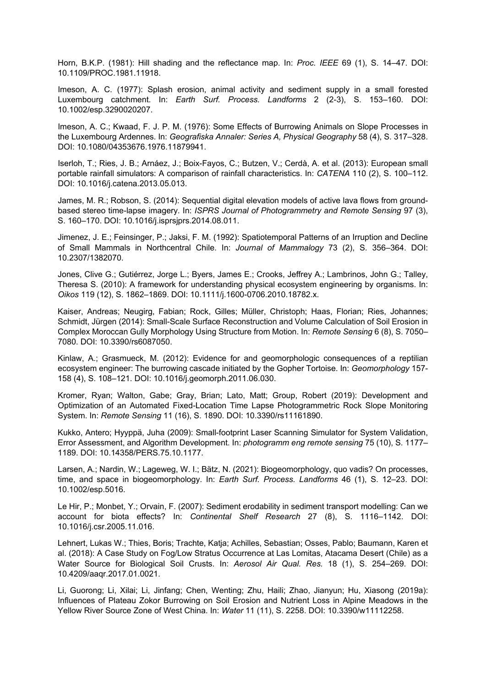Horn, B.K.P. (1981): Hill shading and the reflectance map. In: *Proc. IEEE* 69 (1), S. 14–47. DOI: 10.1109/PROC.1981.11918.

Imeson, A. C. (1977): Splash erosion, animal activity and sediment supply in a small forested Luxembourg catchment. In: *Earth Surf. Process. Landforms* 2 (2-3), S. 153–160. DOI: 10.1002/esp.3290020207.

Imeson, A. C.; Kwaad, F. J. P. M. (1976): Some Effects of Burrowing Animals on Slope Processes in the Luxembourg Ardennes. In: *Geografiska Annaler: Series A, Physical Geography* 58 (4), S. 317–328. DOI: 10.1080/04353676.1976.11879941.

Iserloh, T.; Ries, J. B.; Arnáez, J.; Boix-Fayos, C.; Butzen, V.; Cerdà, A. et al. (2013): European small portable rainfall simulators: A comparison of rainfall characteristics. In: *CATENA* 110 (2), S. 100–112. DOI: 10.1016/j.catena.2013.05.013.

James, M. R.; Robson, S. (2014): Sequential digital elevation models of active lava flows from groundbased stereo time-lapse imagery. In: *ISPRS Journal of Photogrammetry and Remote Sensing* 97 (3), S. 160–170. DOI: 10.1016/j.isprsjprs.2014.08.011.

Jimenez, J. E.; Feinsinger, P.; Jaksi, F. M. (1992): Spatiotemporal Patterns of an Irruption and Decline of Small Mammals in Northcentral Chile. In: *Journal of Mammalogy* 73 (2), S. 356–364. DOI: 10.2307/1382070.

Jones, Clive G.; Gutiérrez, Jorge L.; Byers, James E.; Crooks, Jeffrey A.; Lambrinos, John G.; Talley, Theresa S. (2010): A framework for understanding physical ecosystem engineering by organisms. In: *Oikos* 119 (12), S. 1862–1869. DOI: 10.1111/j.1600-0706.2010.18782.x.

Kaiser, Andreas; Neugirg, Fabian; Rock, Gilles; Müller, Christoph; Haas, Florian; Ries, Johannes; Schmidt, Jürgen (2014): Small-Scale Surface Reconstruction and Volume Calculation of Soil Erosion in Complex Moroccan Gully Morphology Using Structure from Motion. In: *Remote Sensing* 6 (8), S. 7050– 7080. DOI: 10.3390/rs6087050.

Kinlaw, A.; Grasmueck, M. (2012): Evidence for and geomorphologic consequences of a reptilian ecosystem engineer: The burrowing cascade initiated by the Gopher Tortoise. In: *Geomorphology* 157- 158 (4), S. 108–121. DOI: 10.1016/j.geomorph.2011.06.030.

Kromer, Ryan; Walton, Gabe; Gray, Brian; Lato, Matt; Group, Robert (2019): Development and Optimization of an Automated Fixed-Location Time Lapse Photogrammetric Rock Slope Monitoring System. In: *Remote Sensing* 11 (16), S. 1890. DOI: 10.3390/rs11161890.

Kukko, Antero; Hyyppä, Juha (2009): Small-footprint Laser Scanning Simulator for System Validation, Error Assessment, and Algorithm Development. In: *photogramm eng remote sensing* 75 (10), S. 1177– 1189. DOI: 10.14358/PERS.75.10.1177.

Larsen, A.; Nardin, W.; Lageweg, W. I.; Bätz, N. (2021): Biogeomorphology, quo vadis? On processes, time, and space in biogeomorphology. In: *Earth Surf. Process. Landforms* 46 (1), S. 12–23. DOI: 10.1002/esp.5016.

Le Hir, P.; Monbet, Y.; Orvain, F. (2007): Sediment erodability in sediment transport modelling: Can we account for biota effects? In: *Continental Shelf Research* 27 (8), S. 1116–1142. DOI: 10.1016/j.csr.2005.11.016.

Lehnert, Lukas W.; Thies, Boris; Trachte, Katja; Achilles, Sebastian; Osses, Pablo; Baumann, Karen et al. (2018): A Case Study on Fog/Low Stratus Occurrence at Las Lomitas, Atacama Desert (Chile) as a Water Source for Biological Soil Crusts. In: *Aerosol Air Qual. Res.* 18 (1), S. 254–269. DOI: 10.4209/aaqr.2017.01.0021.

Li, Guorong; Li, Xilai; Li, Jinfang; Chen, Wenting; Zhu, Haili; Zhao, Jianyun; Hu, Xiasong (2019a): Influences of Plateau Zokor Burrowing on Soil Erosion and Nutrient Loss in Alpine Meadows in the Yellow River Source Zone of West China. In: *Water* 11 (11), S. 2258. DOI: 10.3390/w11112258.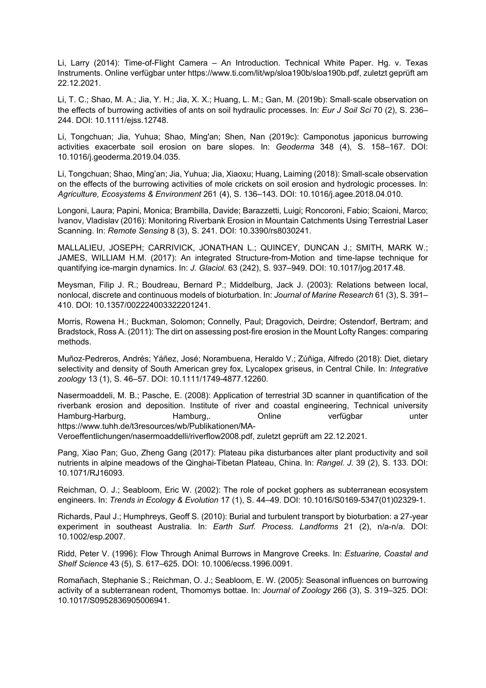Li, Larry (2014): Time-of-Flight Camera – An Introduction. Technical White Paper. Hg. v. Texas Instruments. Online verfügbar unter https://www.ti.com/lit/wp/sloa190b/sloa190b.pdf, zuletzt geprüft am 22.12.2021.

Li, T. C.; Shao, M. A.; Jia, Y. H.; Jia, X. X.; Huang, L. M.; Gan, M. (2019b): Small‐scale observation on the effects of burrowing activities of ants on soil hydraulic processes. In: *Eur J Soil Sci* 70 (2), S. 236– 244. DOI: 10.1111/ejss.12748.

Li, Tongchuan; Jia, Yuhua; Shao, Ming'an; Shen, Nan (2019c): Camponotus japonicus burrowing activities exacerbate soil erosion on bare slopes. In: *Geoderma* 348 (4), S. 158–167. DOI: 10.1016/j.geoderma.2019.04.035.

Li, Tongchuan; Shao, Ming'an; Jia, Yuhua; Jia, Xiaoxu; Huang, Laiming (2018): Small-scale observation on the effects of the burrowing activities of mole crickets on soil erosion and hydrologic processes. In: *Agriculture, Ecosystems & Environment* 261 (4), S. 136–143. DOI: 10.1016/j.agee.2018.04.010.

Longoni, Laura; Papini, Monica; Brambilla, Davide; Barazzetti, Luigi; Roncoroni, Fabio; Scaioni, Marco; Ivanov, Vladislav (2016): Monitoring Riverbank Erosion in Mountain Catchments Using Terrestrial Laser Scanning. In: *Remote Sensing* 8 (3), S. 241. DOI: 10.3390/rs8030241.

MALLALIEU, JOSEPH; CARRIVICK, JONATHAN L.; QUINCEY, DUNCAN J.; SMITH, MARK W.; JAMES, WILLIAM H.M. (2017): An integrated Structure-from-Motion and time-lapse technique for quantifying ice-margin dynamics. In: *J. Glaciol.* 63 (242), S. 937–949. DOI: 10.1017/jog.2017.48.

Meysman, Filip J. R.; Boudreau, Bernard P.; Middelburg, Jack J. (2003): Relations between local, nonlocal, discrete and continuous models of bioturbation. In: *Journal of Marine Research* 61 (3), S. 391– 410. DOI: 10.1357/002224003322201241.

Morris, Rowena H.; Buckman, Solomon; Connelly, Paul; Dragovich, Deirdre; Ostendorf, Bertram; and Bradstock, Ross A. (2011): The dirt on assessing post-fire erosion in the Mount Lofty Ranges: comparing methods.

Muñoz-Pedreros, Andrés; Yáñez, José; Norambuena, Heraldo V.; Zúñiga, Alfredo (2018): Diet, dietary selectivity and density of South American grey fox, Lycalopex griseus, in Central Chile. In: *Integrative zoology* 13 (1), S. 46–57. DOI: 10.1111/1749-4877.12260.

Nasermoaddeli, M. B.; Pasche, E. (2008): Application of terrestrial 3D scanner in quantification of the riverbank erosion and deposition. Institute of river and coastal engineering, Technical university Hamburg-Harburg, Hamburg,. Online verfügbar unter https://www.tuhh.de/t3resources/wb/Publikationen/MA-

Veroeffentlichungen/nasermoaddelli/riverflow2008.pdf, zuletzt geprüft am 22.12.2021.

Pang, Xiao Pan; Guo, Zheng Gang (2017): Plateau pika disturbances alter plant productivity and soil nutrients in alpine meadows of the Qinghai-Tibetan Plateau, China. In: *Rangel. J.* 39 (2), S. 133. DOI: 10.1071/RJ16093.

Reichman, O. J.; Seabloom, Eric W. (2002): The role of pocket gophers as subterranean ecosystem engineers. In: *Trends in Ecology & Evolution* 17 (1), S. 44–49. DOI: 10.1016/S0169-5347(01)02329-1.

Richards, Paul J.; Humphreys, Geoff S. (2010): Burial and turbulent transport by bioturbation: a 27-year experiment in southeast Australia. In: *Earth Surf. Process. Landforms* 21 (2), n/a-n/a. DOI: 10.1002/esp.2007.

Ridd, Peter V. (1996): Flow Through Animal Burrows in Mangrove Creeks. In: *Estuarine, Coastal and Shelf Science* 43 (5), S. 617–625. DOI: 10.1006/ecss.1996.0091.

Romañach, Stephanie S.; Reichman, O. J.; Seabloom, E. W. (2005): Seasonal influences on burrowing activity of a subterranean rodent, Thomomys bottae. In: *Journal of Zoology* 266 (3), S. 319–325. DOI: 10.1017/S0952836905006941.